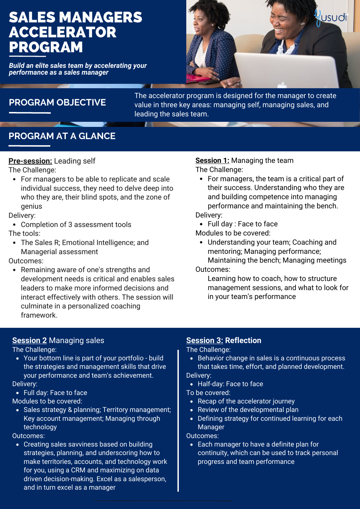# SALES MANAGERS ACCELERATOR PROGRAM

*Build an elite sales team by accelerating your performance as a sales manager*



## **PROGRAM OBJECTIVE**

The accelerator program is designed for the manager to create value in three key areas: managing self, managing sales, and leading the sales team.

## **PROGRAM AT A GLANCE**

## **Pre-session:** Leading self

The Challenge:

For managers to be able to replicate and scale individual success, they need to delve deep into who they are, their blind spots, and the zone of genius

Delivery:

- Completion of 3 assessment tools The tools:
- The Sales R; Emotional Intelligence; and Managerial assessment

Outcomes:

Remaining aware of one's strengths and development needs is critical and enables sales leaders to make more informed decisions and interact effectively with others. The session will culminate in a personalized coaching framework.

#### **Session 1:** Managing the team The Challenge:

- For managers, the team is a critical part of their success. Understanding who they are and building competence into managing performance and maintaining the bench. Delivery:
- Full day : Face to face
- Modules to be covered:
	- Understanding your team; Coaching and mentoring; Managing performance; Maintaining the bench; Managing meetings

Outcomes:

Learning how to coach, how to structure management sessions, and what to look for in your team's performance

## **Session 2** Managing sales

The Challenge:

Your bottom line is part of your portfolio - build the strategies and management skills that drive your performance and team's achievement.

Delivery:

Full day: Face to face

Modules to be covered:

• Sales strategy & planning; Territory management; Key account management; Managing through technology

Outcomes:

Creating sales savviness based on building strategies, planning, and underscoring how to make territories, accounts, and technology work for you, using a CRM and maximizing on data driven decision-making. Excel as a salesperson, and in turn excel as a manager

## **Session 3: Reflection**

The Challenge:

- Behavior change in sales is a continuous process that takes time, effort, and planned development. Delivery:
- Half-day: Face to face

To be covered:

- Recap of the accelerator journey
- Review of the developmental plan
- Defining strategy for continued learning for each **Manager**

Outcomes:

Each manager to have a definite plan for continuity, which can be used to track personal progress and team performance